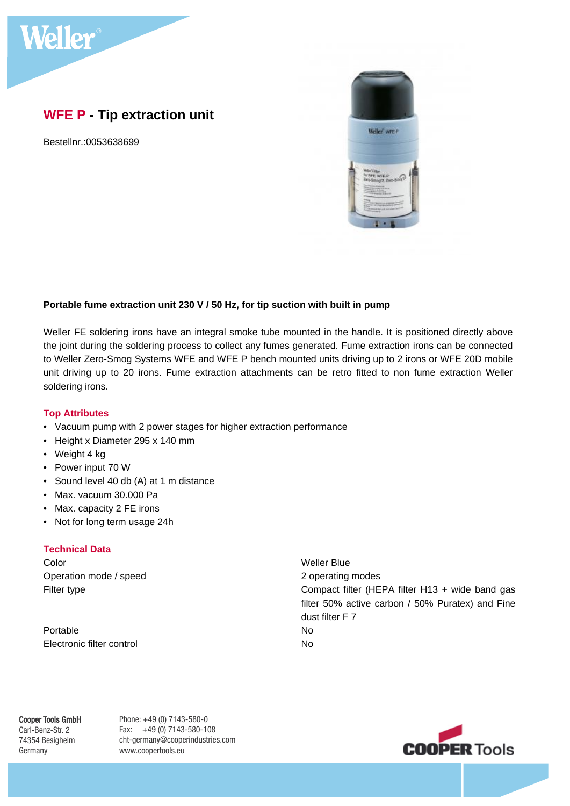

# **WFE P - Tip extraction unit**

Bestellnr.:0053638699



## **Portable fume extraction unit 230 V / 50 Hz, for tip suction with built in pump**

Weller FE soldering irons have an integral smoke tube mounted in the handle. It is positioned directly above the joint during the soldering process to collect any fumes generated. Fume extraction irons can be connected to Weller Zero-Smog Systems WFE and WFE P bench mounted units driving up to 2 irons or WFE 20D mobile unit driving up to 20 irons. Fume extraction attachments can be retro fitted to non fume extraction Weller soldering irons.

#### **Top Attributes**

- Vacuum pump with 2 power stages for higher extraction performance
- Height x Diameter 295 x 140 mm
- Weight 4 kg
- Power input 70 W
- Sound level 40 db (A) at 1 m distance
- Max. vacuum 30.000 Pa
- Max. capacity 2 FE irons
- Not for long term usage 24h

#### **Technical Data**

Color Weller Blue Operation mode / speed 2 operating modes

Portable No. 2006 Electronic filter control No

Filter type Compact filter (HEPA filter H13 + wide band gas filter 50% active carbon / 50% Puratex) and Fine dust filter F 7

# Cooper Tools GmbH

Carl-Benz-Str. 2 74354 Besigheim Germany

Phone: +49 (0) 7143-580-0 Fax: +49 (0) 7143-580-108 cht-germany@cooperindustries.com www.coopertools.eu